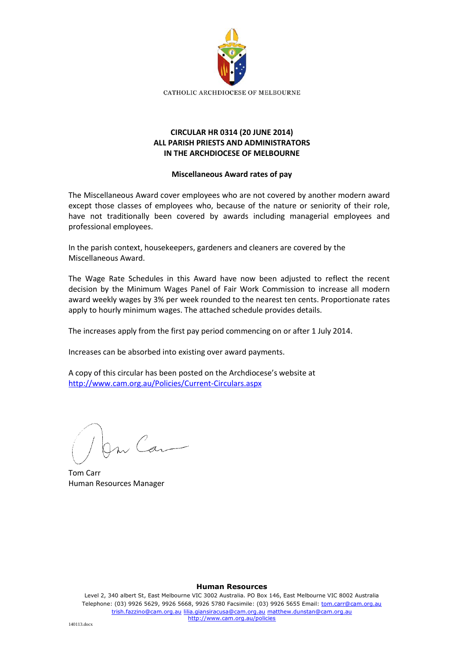

## **CIRCULAR HR 0314 (20 JUNE 2014) ALL PARISH PRIESTS AND ADMINISTRATORS IN THE ARCHDIOCESE OF MELBOURNE**

## **Miscellaneous Award rates of pay**

The Miscellaneous Award cover employees who are not covered by another modern award except those classes of employees who, because of the nature or seniority of their role, have not traditionally been covered by awards including managerial employees and professional employees.

In the parish context, housekeepers, gardeners and cleaners are covered by the Miscellaneous Award.

The Wage Rate Schedules in this Award have now been adjusted to reflect the recent decision by the Minimum Wages Panel of Fair Work Commission to increase all modern award weekly wages by 3% per week rounded to the nearest ten cents. Proportionate rates apply to hourly minimum wages. The attached schedule provides details.

The increases apply from the first pay period commencing on or after 1 July 2014.

Increases can be absorbed into existing over award payments.

A copy of this circular has been posted on the Archdiocese's website at <http://www.cam.org.au/Policies/Current-Circulars.aspx>

m Can

Tom Carr Human Resources Manager

## **Human Resources**

Level 2, 340 albert St, East Melbourne VIC 3002 Australia. PO Box 146, East Melbourne VIC 8002 Australia Telephone: (03) 9926 5629, 9926 5668, 9926 5780 Facsimile: (03) 9926 5655 Email: tom.carr@cam.org.au trish.fazzino@cam.org.au lilia.giansiracusa@cam.org.au matthew.dunstan@cam.org.au http://www.cam.org.au/policies